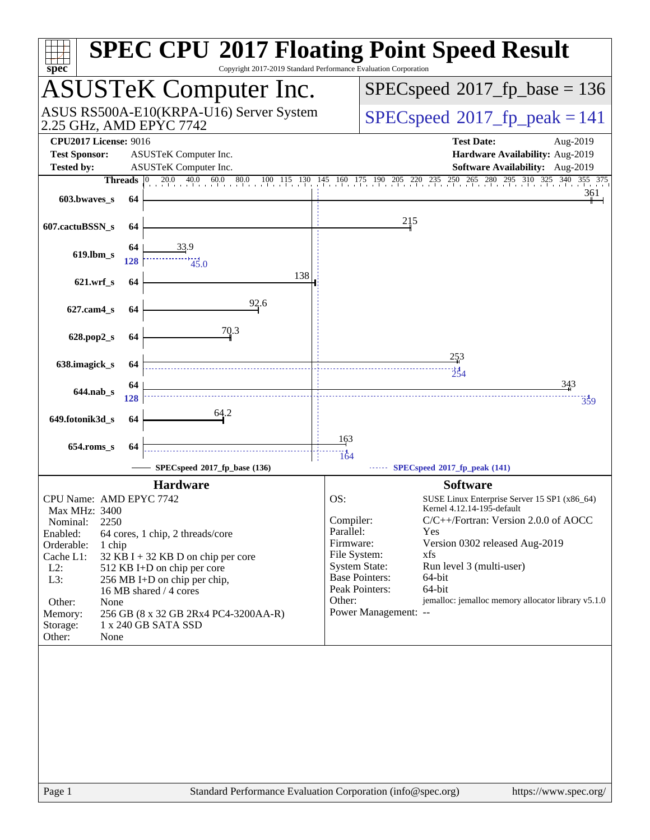| Copyright 2017-2019 Standard Performance Evaluation Corporation<br>spec <sup>®</sup> | <b>SPEC CPU®2017 Floating Point Speed Result</b>                                                |
|--------------------------------------------------------------------------------------|-------------------------------------------------------------------------------------------------|
| <b>ASUSTeK Computer Inc.</b>                                                         | $SPEC speed^{\circ}2017\_fp\_base = 136$                                                        |
| ASUS RS500A-E10(KRPA-U16) Server System<br>2.25 GHz, AMD EPYC 7742                   | $SPEC speed^{\circ}2017$ fp peak = 141                                                          |
| <b>CPU2017 License: 9016</b><br><b>Test Sponsor:</b><br>ASUSTeK Computer Inc.        | <b>Test Date:</b><br>Aug-2019<br>Hardware Availability: Aug-2019                                |
| <b>Tested by:</b><br>ASUSTeK Computer Inc.                                           | Software Availability: Aug-2019                                                                 |
| <b>Threads</b> $ 0 $                                                                 | 20.0 40.0 60.0 80.0 100 115 130 145 160 175 190 205 220 235 250 265 280 295 310 325 340 355 375 |
| 603.bwaves_s<br>64                                                                   | 361                                                                                             |
| 607.cactuBSSN_s<br>64                                                                | 215                                                                                             |
| <u>33.9</u><br>64<br>$619$ .lbm_s<br>128<br>45.0                                     |                                                                                                 |
| 138<br>$621.wrf$ s<br>64                                                             |                                                                                                 |
| 92.6<br>627.cam4_s<br>64                                                             |                                                                                                 |
| 70.3<br>628.pop2_s<br>64                                                             |                                                                                                 |
|                                                                                      | 253                                                                                             |
| 638.imagick_s<br>64<br>64                                                            | $\frac{1}{254}$<br>343                                                                          |
| 644.nab_s<br>128                                                                     | 359                                                                                             |
| 64.2<br>649.fotonik3d_s<br>64                                                        |                                                                                                 |
| $654$ .roms_s<br>64                                                                  | 163                                                                                             |
|                                                                                      | $\frac{1}{164}$                                                                                 |
| SPECspeed®2017_fp_base (136)                                                         | $\cdots$ SPECspeed <sup>®</sup> 2017_fp_peak (141)                                              |
| <b>Hardware</b>                                                                      | <b>Software</b>                                                                                 |
| CPU Name: AMD EPYC 7742                                                              | OS:<br>SUSE Linux Enterprise Server 15 SP1 (x86_64)<br>Kernel 4.12.14-195-default               |
| Max MHz: 3400<br>Nominal:<br>2250                                                    | C/C++/Fortran: Version 2.0.0 of AOCC<br>Compiler:                                               |
| Enabled:<br>64 cores, 1 chip, 2 threads/core                                         | Parallel:<br>Yes                                                                                |
| Orderable:<br>1 chip                                                                 | Firmware:<br>Version 0302 released Aug-2019                                                     |
| Cache L1:<br>32 KB I + 32 KB D on chip per core                                      | File System:<br>xfs<br><b>System State:</b><br>Run level 3 (multi-user)                         |
| $L2$ :<br>512 KB I+D on chip per core<br>L3:<br>256 MB I+D on chip per chip,         | <b>Base Pointers:</b><br>64-bit                                                                 |
| 16 MB shared / 4 cores                                                               | Peak Pointers:<br>64-bit                                                                        |
| Other:<br>None                                                                       | jemalloc: jemalloc memory allocator library v5.1.0<br>Other:                                    |
| 256 GB (8 x 32 GB 2Rx4 PC4-3200AA-R)<br>Memory:                                      | Power Management: --                                                                            |
| Storage:<br>1 x 240 GB SATA SSD<br>Other:<br>None                                    |                                                                                                 |
|                                                                                      |                                                                                                 |
|                                                                                      |                                                                                                 |
|                                                                                      |                                                                                                 |
|                                                                                      |                                                                                                 |
|                                                                                      |                                                                                                 |
|                                                                                      |                                                                                                 |
|                                                                                      |                                                                                                 |
|                                                                                      |                                                                                                 |
|                                                                                      |                                                                                                 |
|                                                                                      |                                                                                                 |
| $D2$ $\sigma$ 1<br>$Standard$ Performance Evaluation Corporation (info@spec.org)     | http://www.snac.org/                                                                            |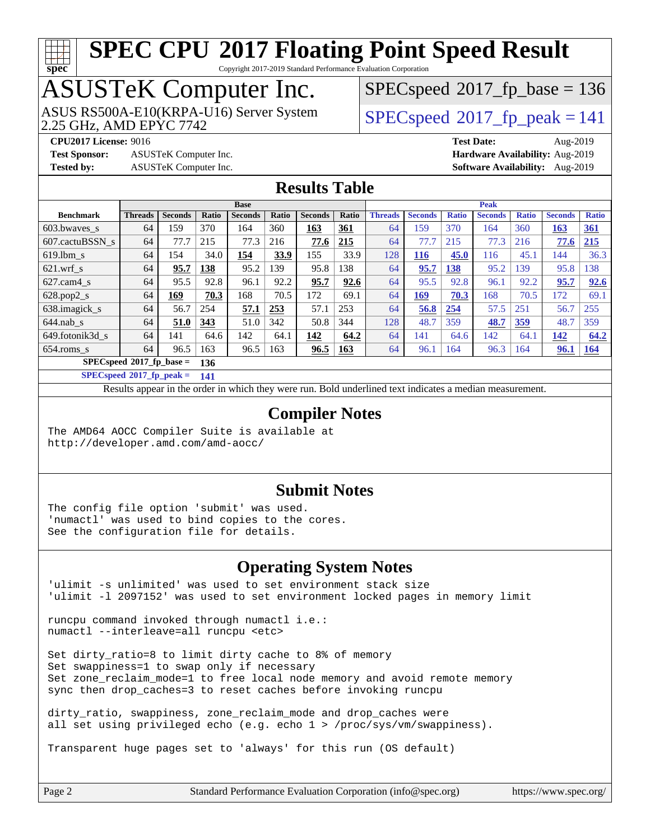# **[spec](http://www.spec.org/)**

# **[SPEC CPU](http://www.spec.org/auto/cpu2017/Docs/result-fields.html#SPECCPU2017FloatingPointSpeedResult)[2017 Floating Point Speed Result](http://www.spec.org/auto/cpu2017/Docs/result-fields.html#SPECCPU2017FloatingPointSpeedResult)**

Copyright 2017-2019 Standard Performance Evaluation Corporation

# ASUSTeK Computer Inc.

2.25 GHz, AMD EPYC 7742 ASUS RS500A-E10(KRPA-U16) Server System [SPECspeed](http://www.spec.org/auto/cpu2017/Docs/result-fields.html#SPECspeed2017fppeak)®2017 fp\_peak = 141

[SPECspeed](http://www.spec.org/auto/cpu2017/Docs/result-fields.html#SPECspeed2017fpbase)<sup>®</sup>2017 fp base = 136

**[Test Sponsor:](http://www.spec.org/auto/cpu2017/Docs/result-fields.html#TestSponsor)** ASUSTeK Computer Inc. **[Hardware Availability:](http://www.spec.org/auto/cpu2017/Docs/result-fields.html#HardwareAvailability)** Aug-2019 **[Tested by:](http://www.spec.org/auto/cpu2017/Docs/result-fields.html#Testedby)** ASUSTeK Computer Inc. **[Software Availability:](http://www.spec.org/auto/cpu2017/Docs/result-fields.html#SoftwareAvailability)** Aug-2019

**[CPU2017 License:](http://www.spec.org/auto/cpu2017/Docs/result-fields.html#CPU2017License)** 9016 **[Test Date:](http://www.spec.org/auto/cpu2017/Docs/result-fields.html#TestDate)** Aug-2019

### **[Results Table](http://www.spec.org/auto/cpu2017/Docs/result-fields.html#ResultsTable)**

|                             | <b>Base</b>                        |                |       |                |       | <b>Peak</b>    |            |                |                |              |                |              |                |              |
|-----------------------------|------------------------------------|----------------|-------|----------------|-------|----------------|------------|----------------|----------------|--------------|----------------|--------------|----------------|--------------|
| <b>Benchmark</b>            | <b>Threads</b>                     | <b>Seconds</b> | Ratio | <b>Seconds</b> | Ratio | <b>Seconds</b> | Ratio      | <b>Threads</b> | <b>Seconds</b> | <b>Ratio</b> | <b>Seconds</b> | <b>Ratio</b> | <b>Seconds</b> | <b>Ratio</b> |
| 603.bwayes s                | 64                                 | 159            | 370   | 164            | 360   | 163            | <u>361</u> | 64             | 159            | 370          | 164            | 360          | <b>163</b>     | 361          |
| 607.cactuBSSN s             | 64                                 | 77.7           | 215   | 77.3           | 216   | 77.6           | 215        | 64             | 77.7           | 215          | 77.3           | 216          | 77.6           | 215          |
| $619.1$ bm s                | 64                                 | 154            | 34.0  | 154            | 33.9  | 155            | 33.9       | 128            | 116            | 45.0         | 116            | 45.1         | 144            | 36.3         |
| $621$ .wrf s                | 64                                 | 95.7           | 138   | 95.2           | 139   | 95.8           | 138        | 64             | 95.7           | 138          | 95.2           | 139          | 95.8           | 138          |
| $627$ .cam $4$ <sub>S</sub> | 64                                 | 95.5           | 92.8  | 96.1           | 92.2  | 95.7           | 92.6       | 64             | 95.5           | 92.8         | 96.1           | 92.2         | 95.7           | 92.6         |
| $628.pop2_s$                | 64                                 | 169            | 70.3  | 168            | 70.5  | 172            | 69.1       | 64             | <u>169</u>     | 70.3         | 168            | 70.5         | 172            | 69.1         |
| 638.imagick_s               | 64                                 | 56.7           | 254   | 57.1           | 253   | 57.1           | 253        | 64             | 56.8           | 254          | 57.5           | 251          | 56.7           | 255          |
| $644$ .nab s                | 64                                 | 51.0           | 343   | 51.0           | 342   | 50.8           | 344        | 128            | 48.7           | 359          | 48.7           | 359          | 48.7           | 359          |
| 649.fotonik3d s             | 64                                 | 141            | 64.6  | 142            | 64.1  | 142            | 64.2       | 64             | 141            | 64.6         | 142            | 64.1         | 142            | 64.2         |
| $654$ .roms s               | 64                                 | 96.5           | 163   | 96.5           | 163   | 96.5           | <b>163</b> | 64             | 96.1           | 164          | 96.3           | 164          | 96.1           | <b>164</b>   |
|                             | $SPECspeed*2017_fp\_base =$<br>136 |                |       |                |       |                |            |                |                |              |                |              |                |              |

**[SPECspeed](http://www.spec.org/auto/cpu2017/Docs/result-fields.html#SPECspeed2017fppeak)[2017\\_fp\\_peak =](http://www.spec.org/auto/cpu2017/Docs/result-fields.html#SPECspeed2017fppeak) 141**

Results appear in the [order in which they were run.](http://www.spec.org/auto/cpu2017/Docs/result-fields.html#RunOrder) Bold underlined text [indicates a median measurement](http://www.spec.org/auto/cpu2017/Docs/result-fields.html#Median).

### **[Compiler Notes](http://www.spec.org/auto/cpu2017/Docs/result-fields.html#CompilerNotes)**

The AMD64 AOCC Compiler Suite is available at <http://developer.amd.com/amd-aocc/>

#### **[Submit Notes](http://www.spec.org/auto/cpu2017/Docs/result-fields.html#SubmitNotes)**

The config file option 'submit' was used. 'numactl' was used to bind copies to the cores. See the configuration file for details.

#### **[Operating System Notes](http://www.spec.org/auto/cpu2017/Docs/result-fields.html#OperatingSystemNotes)**

'ulimit -s unlimited' was used to set environment stack size 'ulimit -l 2097152' was used to set environment locked pages in memory limit

runcpu command invoked through numactl i.e.: numactl --interleave=all runcpu <etc>

Set dirty\_ratio=8 to limit dirty cache to 8% of memory Set swappiness=1 to swap only if necessary Set zone\_reclaim\_mode=1 to free local node memory and avoid remote memory sync then drop\_caches=3 to reset caches before invoking runcpu

dirty ratio, swappiness, zone reclaim mode and drop caches were all set using privileged echo (e.g. echo 1 > /proc/sys/vm/swappiness).

Transparent huge pages set to 'always' for this run (OS default)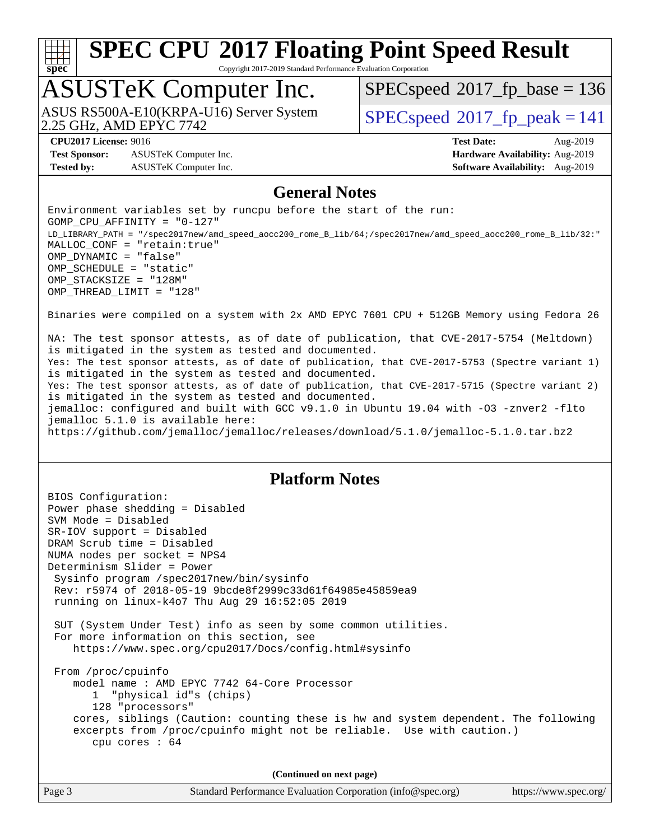# **[spec](http://www.spec.org/)**

# **[SPEC CPU](http://www.spec.org/auto/cpu2017/Docs/result-fields.html#SPECCPU2017FloatingPointSpeedResult)[2017 Floating Point Speed Result](http://www.spec.org/auto/cpu2017/Docs/result-fields.html#SPECCPU2017FloatingPointSpeedResult)**

Copyright 2017-2019 Standard Performance Evaluation Corporation

## ASUSTeK Computer Inc.

2.25 GHz, AMD EPYC 7742 ASUS RS500A-E10(KRPA-U16) Server System  $\big|$  [SPECspeed](http://www.spec.org/auto/cpu2017/Docs/result-fields.html#SPECspeed2017fppeak)®2017 fp\_peak = 141

[SPECspeed](http://www.spec.org/auto/cpu2017/Docs/result-fields.html#SPECspeed2017fpbase)<sup>®</sup>2017 fp base = 136

**[Test Sponsor:](http://www.spec.org/auto/cpu2017/Docs/result-fields.html#TestSponsor)** ASUSTeK Computer Inc. **[Hardware Availability:](http://www.spec.org/auto/cpu2017/Docs/result-fields.html#HardwareAvailability)** Aug-2019 **[Tested by:](http://www.spec.org/auto/cpu2017/Docs/result-fields.html#Testedby)** ASUSTeK Computer Inc. **[Software Availability:](http://www.spec.org/auto/cpu2017/Docs/result-fields.html#SoftwareAvailability)** Aug-2019

**[CPU2017 License:](http://www.spec.org/auto/cpu2017/Docs/result-fields.html#CPU2017License)** 9016 **[Test Date:](http://www.spec.org/auto/cpu2017/Docs/result-fields.html#TestDate)** Aug-2019

### **[General Notes](http://www.spec.org/auto/cpu2017/Docs/result-fields.html#GeneralNotes)**

Environment variables set by runcpu before the start of the run: GOMP\_CPU\_AFFINITY = "0-127" LD\_LIBRARY\_PATH = "/spec2017new/amd\_speed\_aocc200\_rome\_B\_lib/64;/spec2017new/amd\_speed\_aocc200\_rome\_B\_lib/32:" MALLOC\_CONF = "retain:true" OMP\_DYNAMIC = "false" OMP\_SCHEDULE = "static" OMP\_STACKSIZE = "128M" OMP\_THREAD\_LIMIT = "128"

Binaries were compiled on a system with 2x AMD EPYC 7601 CPU + 512GB Memory using Fedora 26

NA: The test sponsor attests, as of date of publication, that CVE-2017-5754 (Meltdown) is mitigated in the system as tested and documented. Yes: The test sponsor attests, as of date of publication, that CVE-2017-5753 (Spectre variant 1) is mitigated in the system as tested and documented. Yes: The test sponsor attests, as of date of publication, that CVE-2017-5715 (Spectre variant 2) is mitigated in the system as tested and documented. jemalloc: configured and built with GCC v9.1.0 in Ubuntu 19.04 with -O3 -znver2 -flto jemalloc 5.1.0 is available here: <https://github.com/jemalloc/jemalloc/releases/download/5.1.0/jemalloc-5.1.0.tar.bz2>

#### **[Platform Notes](http://www.spec.org/auto/cpu2017/Docs/result-fields.html#PlatformNotes)**

BIOS Configuration: Power phase shedding = Disabled SVM Mode = Disabled SR-IOV support = Disabled DRAM Scrub time = Disabled NUMA nodes per socket = NPS4 Determinism Slider = Power Sysinfo program /spec2017new/bin/sysinfo Rev: r5974 of 2018-05-19 9bcde8f2999c33d61f64985e45859ea9 running on linux-k4o7 Thu Aug 29 16:52:05 2019 SUT (System Under Test) info as seen by some common utilities. For more information on this section, see <https://www.spec.org/cpu2017/Docs/config.html#sysinfo> From /proc/cpuinfo model name : AMD EPYC 7742 64-Core Processor 1 "physical id"s (chips) 128 "processors" cores, siblings (Caution: counting these is hw and system dependent. The following excerpts from /proc/cpuinfo might not be reliable. Use with caution.) cpu cores : 64 **(Continued on next page)**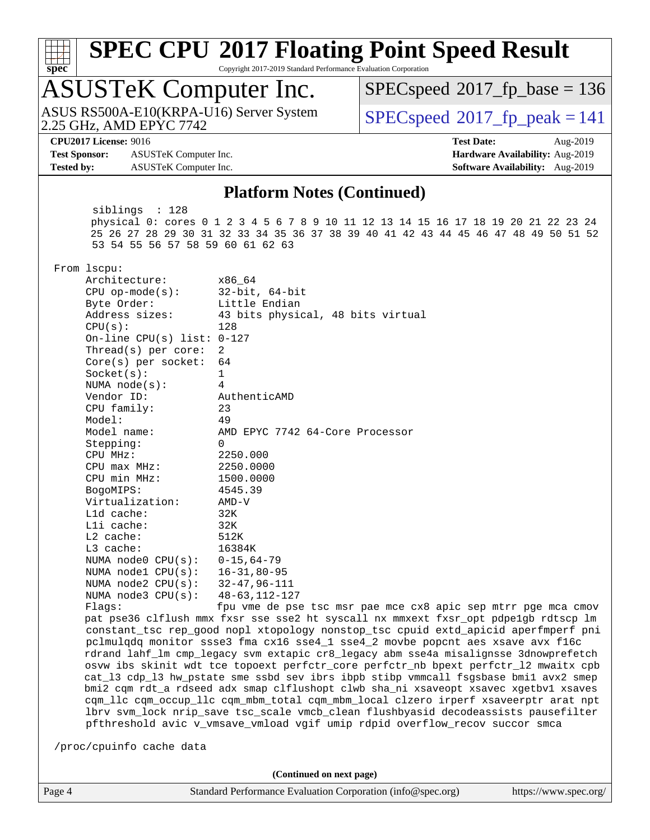#### **[SPEC CPU](http://www.spec.org/auto/cpu2017/Docs/result-fields.html#SPECCPU2017FloatingPointSpeedResult)[2017 Floating Point Speed Result](http://www.spec.org/auto/cpu2017/Docs/result-fields.html#SPECCPU2017FloatingPointSpeedResult)** Copyright 2017-2019 Standard Performance Evaluation Corporation

# ASUSTeK Computer Inc.

2.25 GHz, AMD EPYC 7742 ASUS RS500A-E10(KRPA-U16) Server System  $\big|$  [SPECspeed](http://www.spec.org/auto/cpu2017/Docs/result-fields.html#SPECspeed2017fppeak)®2017 fp\_peak = 141

[SPECspeed](http://www.spec.org/auto/cpu2017/Docs/result-fields.html#SPECspeed2017fpbase)<sup>®</sup>2017 fp base = 136

**[spec](http://www.spec.org/)**

**[Test Sponsor:](http://www.spec.org/auto/cpu2017/Docs/result-fields.html#TestSponsor)** ASUSTeK Computer Inc. **[Hardware Availability:](http://www.spec.org/auto/cpu2017/Docs/result-fields.html#HardwareAvailability)** Aug-2019 **[Tested by:](http://www.spec.org/auto/cpu2017/Docs/result-fields.html#Testedby)** ASUSTeK Computer Inc. **[Software Availability:](http://www.spec.org/auto/cpu2017/Docs/result-fields.html#SoftwareAvailability)** Aug-2019

**[CPU2017 License:](http://www.spec.org/auto/cpu2017/Docs/result-fields.html#CPU2017License)** 9016 **[Test Date:](http://www.spec.org/auto/cpu2017/Docs/result-fields.html#TestDate)** Aug-2019

#### **[Platform Notes \(Continued\)](http://www.spec.org/auto/cpu2017/Docs/result-fields.html#PlatformNotes)**

 siblings : 128 physical 0: cores 0 1 2 3 4 5 6 7 8 9 10 11 12 13 14 15 16 17 18 19 20 21 22 23 24 25 26 27 28 29 30 31 32 33 34 35 36 37 38 39 40 41 42 43 44 45 46 47 48 49 50 51 52 53 54 55 56 57 58 59 60 61 62 63

From lscpu:

| Architecture:                     | x86 64                             |
|-----------------------------------|------------------------------------|
| $CPU op-mode(s):$ 32-bit, 64-bit  |                                    |
| Byte Order:                       | Little Endian                      |
| Address sizes:                    | 43 bits physical, 48 bits virtual  |
| CPU(s):                           | 128                                |
| On-line CPU(s) list: $0-127$      |                                    |
| Thread(s) per core: $2$           |                                    |
| Core(s) per socket: 64            |                                    |
| Socket(s):                        | $\mathbf{1}$                       |
| NUMA node(s):                     | 4                                  |
| Vendor ID:                        | AuthenticAMD                       |
| CPU family:                       | 23                                 |
| Model:                            | 49                                 |
| Model name:                       | AMD EPYC 7742 64-Core Processor    |
| Stepping:                         | $\Omega$                           |
| $CPU$ $MHz:$                      | 2250.000                           |
| CPU max MHz: 2250.0000            |                                    |
| CPU min MHz:                      | 1500.0000                          |
| BogoMIPS:                         | 4545.39                            |
| Virtualization: AMD-V             |                                    |
| Lld cache:                        | 32K                                |
| $L1i$ cache:                      | 32K                                |
| $L2$ cache:                       | 512K                               |
| $L3$ cache:                       | 16384K                             |
| NUMA node0 $CPU(s): 0-15, 64-79$  |                                    |
| NUMA node1 CPU(s): 16-31,80-95    |                                    |
| NUMA node2 $CPU(s): 32-47,96-111$ |                                    |
| NUMA node3 CPU(s): 48-63, 112-127 |                                    |
| Flanc:                            | fou yme de nge tgc mgr nae mce cx8 |

pae mce cx8 apic sep mtrr pge mca cmov pat pse36 clflush mmx fxsr sse sse2 ht syscall nx mmxext fxsr\_opt pdpe1gb rdtscp lm constant\_tsc rep\_good nopl xtopology nonstop\_tsc cpuid extd\_apicid aperfmperf pni pclmulqdq monitor ssse3 fma cx16 sse4\_1 sse4\_2 movbe popcnt aes xsave avx f16c rdrand lahf\_lm cmp\_legacy svm extapic cr8\_legacy abm sse4a misalignsse 3dnowprefetch osvw ibs skinit wdt tce topoext perfctr\_core perfctr\_nb bpext perfctr\_l2 mwaitx cpb cat\_l3 cdp\_l3 hw\_pstate sme ssbd sev ibrs ibpb stibp vmmcall fsgsbase bmi1 avx2 smep bmi2 cqm rdt\_a rdseed adx smap clflushopt clwb sha\_ni xsaveopt xsavec xgetbv1 xsaves cqm\_llc cqm\_occup\_llc cqm\_mbm\_total cqm\_mbm\_local clzero irperf xsaveerptr arat npt lbrv svm\_lock nrip\_save tsc\_scale vmcb\_clean flushbyasid decodeassists pausefilter pfthreshold avic v\_vmsave\_vmload vgif umip rdpid overflow\_recov succor smca

/proc/cpuinfo cache data

**(Continued on next page)**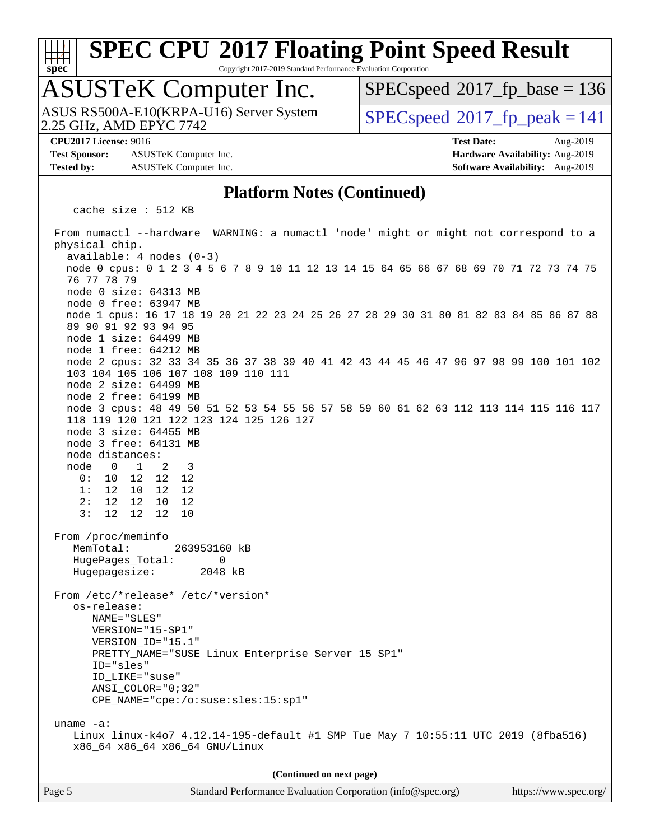

Copyright 2017-2019 Standard Performance Evaluation Corporation

# ASUSTeK Computer Inc.

2.25 GHz, AMD EPYC 7742 ASUS RS500A-E10(KRPA-U16) Server System  $\big|$  [SPECspeed](http://www.spec.org/auto/cpu2017/Docs/result-fields.html#SPECspeed2017fppeak)®2017 fp\_peak = 141

[SPECspeed](http://www.spec.org/auto/cpu2017/Docs/result-fields.html#SPECspeed2017fpbase)<sup>®</sup>2017 fp base = 136

**[Test Sponsor:](http://www.spec.org/auto/cpu2017/Docs/result-fields.html#TestSponsor)** ASUSTeK Computer Inc. **[Hardware Availability:](http://www.spec.org/auto/cpu2017/Docs/result-fields.html#HardwareAvailability)** Aug-2019 **[Tested by:](http://www.spec.org/auto/cpu2017/Docs/result-fields.html#Testedby)** ASUSTeK Computer Inc. **[Software Availability:](http://www.spec.org/auto/cpu2017/Docs/result-fields.html#SoftwareAvailability)** Aug-2019

**[CPU2017 License:](http://www.spec.org/auto/cpu2017/Docs/result-fields.html#CPU2017License)** 9016 **[Test Date:](http://www.spec.org/auto/cpu2017/Docs/result-fields.html#TestDate)** Aug-2019

### **[Platform Notes \(Continued\)](http://www.spec.org/auto/cpu2017/Docs/result-fields.html#PlatformNotes)**

cache size : 512 KB

 From numactl --hardware WARNING: a numactl 'node' might or might not correspond to a physical chip. available: 4 nodes (0-3) node 0 cpus: 0 1 2 3 4 5 6 7 8 9 10 11 12 13 14 15 64 65 66 67 68 69 70 71 72 73 74 75 76 77 78 79 node 0 size: 64313 MB node 0 free: 63947 MB node 1 cpus: 16 17 18 19 20 21 22 23 24 25 26 27 28 29 30 31 80 81 82 83 84 85 86 87 88 89 90 91 92 93 94 95 node 1 size: 64499 MB node 1 free: 64212 MB node 2 cpus: 32 33 34 35 36 37 38 39 40 41 42 43 44 45 46 47 96 97 98 99 100 101 102 103 104 105 106 107 108 109 110 111 node 2 size: 64499 MB node 2 free: 64199 MB node 3 cpus: 48 49 50 51 52 53 54 55 56 57 58 59 60 61 62 63 112 113 114 115 116 117 118 119 120 121 122 123 124 125 126 127 node 3 size: 64455 MB node 3 free: 64131 MB node distances: node 0 1 2 3 0: 10 12 12 12 1: 12 10 12 12 2: 12 12 10 12 3: 12 12 12 10 From /proc/meminfo MemTotal: 263953160 kB HugePages\_Total: 0<br>Hugepagesize: 2048 kB Hugepagesize: From /etc/\*release\* /etc/\*version\* os-release: NAME="SLES" VERSION="15-SP1" VERSION\_ID="15.1" PRETTY\_NAME="SUSE Linux Enterprise Server 15 SP1" ID="sles" ID\_LIKE="suse" ANSI\_COLOR="0;32" CPE\_NAME="cpe:/o:suse:sles:15:sp1" uname -a: Linux linux-k4o7 4.12.14-195-default #1 SMP Tue May 7 10:55:11 UTC 2019 (8fba516) x86\_64 x86\_64 x86\_64 GNU/Linux **(Continued on next page)**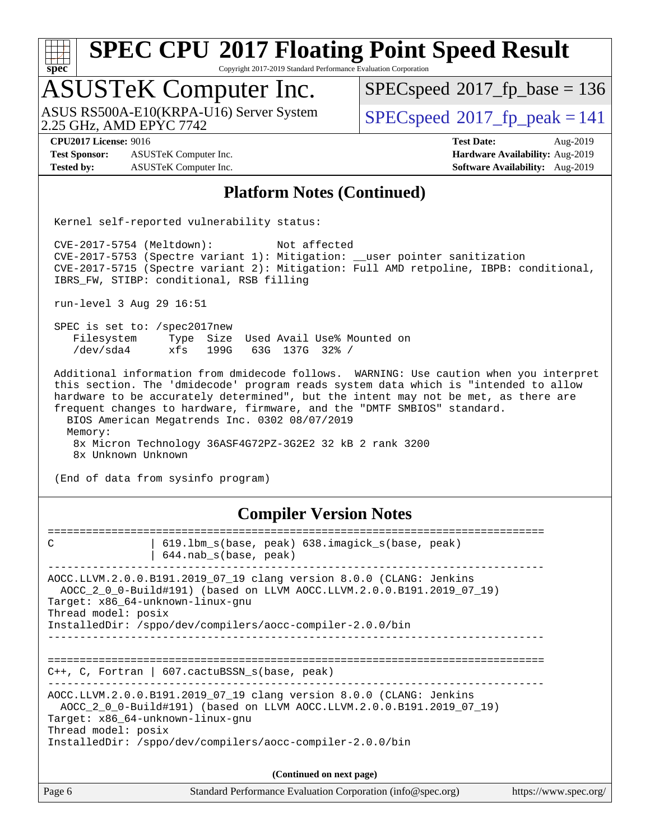| $spec^*$                                                                  |                                                                                                                                                 | <b>SPEC CPU®2017 Floating Point Speed Result</b><br>Copyright 2017-2019 Standard Performance Evaluation Corporation                                                                                                                                                                                                                            |                                                                                |
|---------------------------------------------------------------------------|-------------------------------------------------------------------------------------------------------------------------------------------------|------------------------------------------------------------------------------------------------------------------------------------------------------------------------------------------------------------------------------------------------------------------------------------------------------------------------------------------------|--------------------------------------------------------------------------------|
| <b>ASUSTeK Computer Inc.</b>                                              |                                                                                                                                                 | $SPEC speed^{\circ}2017$ fp base = 136                                                                                                                                                                                                                                                                                                         |                                                                                |
| 2.25 GHz, AMD EPYC 7742                                                   | ASUS RS500A-E10(KRPA-U16) Server System                                                                                                         | $SPEC speed^{\circ}2017$ fp peak = 141                                                                                                                                                                                                                                                                                                         |                                                                                |
| <b>CPU2017 License: 9016</b><br><b>Test Sponsor:</b><br><b>Tested by:</b> | ASUSTeK Computer Inc.<br>ASUSTeK Computer Inc.                                                                                                  | <b>Test Date:</b>                                                                                                                                                                                                                                                                                                                              | Aug-2019<br>Hardware Availability: Aug-2019<br>Software Availability: Aug-2019 |
|                                                                           |                                                                                                                                                 | <b>Platform Notes (Continued)</b>                                                                                                                                                                                                                                                                                                              |                                                                                |
|                                                                           | Kernel self-reported vulnerability status:                                                                                                      |                                                                                                                                                                                                                                                                                                                                                |                                                                                |
| CVE-2017-5754 (Meltdown):                                                 | IBRS_FW, STIBP: conditional, RSB filling                                                                                                        | Not affected<br>CVE-2017-5753 (Spectre variant 1): Mitigation: __user pointer sanitization<br>CVE-2017-5715 (Spectre variant 2): Mitigation: Full AMD retpoline, IBPB: conditional,                                                                                                                                                            |                                                                                |
| run-level 3 Aug 29 16:51                                                  |                                                                                                                                                 |                                                                                                                                                                                                                                                                                                                                                |                                                                                |
| SPEC is set to: /spec2017new<br>Filesystem<br>/dev/sda4                   | Type Size Used Avail Use% Mounted on<br>xfs<br>199G<br>63G 137G 32% /                                                                           |                                                                                                                                                                                                                                                                                                                                                |                                                                                |
| Memory:<br>8x Unknown Unknown                                             | BIOS American Megatrends Inc. 0302 08/07/2019<br>8x Micron Technology 36ASF4G72PZ-3G2E2 32 kB 2 rank 3200<br>(End of data from sysinfo program) | Additional information from dmidecode follows. WARNING: Use caution when you interpret<br>this section. The 'dmidecode' program reads system data which is "intended to allow<br>hardware to be accurately determined", but the intent may not be met, as there are<br>frequent changes to hardware, firmware, and the "DMTF SMBIOS" standard. |                                                                                |
|                                                                           |                                                                                                                                                 | <b>Compiler Version Notes</b>                                                                                                                                                                                                                                                                                                                  |                                                                                |
| C                                                                         | 619.1bm_s(base, peak) 638.imagick_s(base, peak)<br>$644.nab_s(base, peak)$                                                                      |                                                                                                                                                                                                                                                                                                                                                |                                                                                |
| Target: x86_64-unknown-linux-gnu<br>Thread model: posix                   | AOCC.LLVM.2.0.0.B191.2019_07_19 clang version 8.0.0 (CLANG: Jenkins<br>InstalledDir: /sppo/dev/compilers/aocc-compiler-2.0.0/bin                | AOCC_2_0_0-Build#191) (based on LLVM AOCC.LLVM.2.0.0.B191.2019_07_19)                                                                                                                                                                                                                                                                          |                                                                                |
| ===========================                                               | C++, C, Fortran   607.cactuBSSN_s(base, peak)                                                                                                   | =================================                                                                                                                                                                                                                                                                                                              |                                                                                |
| Target: x86_64-unknown-linux-gnu<br>Thread model: posix                   | AOCC.LLVM.2.0.0.B191.2019_07_19 clang version 8.0.0 (CLANG: Jenkins<br>InstalledDir: /sppo/dev/compilers/aocc-compiler-2.0.0/bin                | AOCC_2_0_0-Build#191) (based on LLVM AOCC.LLVM.2.0.0.B191.2019_07_19)                                                                                                                                                                                                                                                                          |                                                                                |
|                                                                           |                                                                                                                                                 |                                                                                                                                                                                                                                                                                                                                                |                                                                                |
| Page 6                                                                    |                                                                                                                                                 | (Continued on next page)<br>Standard Performance Evaluation Corporation (info@spec.org)                                                                                                                                                                                                                                                        | https://www.spec.org/                                                          |
|                                                                           |                                                                                                                                                 |                                                                                                                                                                                                                                                                                                                                                |                                                                                |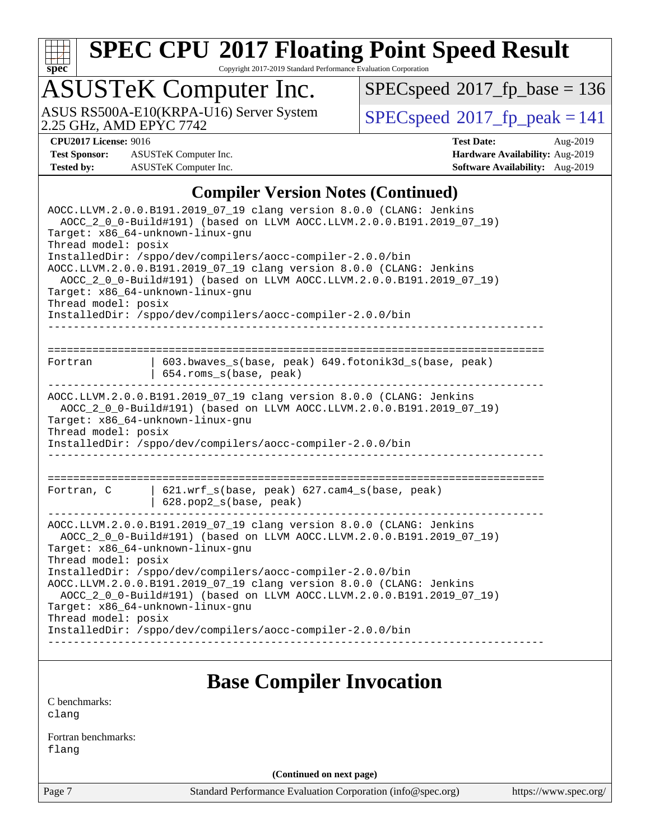

Copyright 2017-2019 Standard Performance Evaluation Corporation

# ASUSTeK Computer Inc.

 $SPECspeed^{\circledcirc}2017_fp\_base = 136$  $SPECspeed^{\circledcirc}2017_fp\_base = 136$ 

ASUS RS500A-E10(KRPA-U16) Server System Speed®[2017\\_fp\\_peak = 1](http://www.spec.org/auto/cpu2017/Docs/result-fields.html#SPECspeed2017fppeak)41

**[Test Sponsor:](http://www.spec.org/auto/cpu2017/Docs/result-fields.html#TestSponsor)** ASUSTeK Computer Inc. **[Hardware Availability:](http://www.spec.org/auto/cpu2017/Docs/result-fields.html#HardwareAvailability)** Aug-2019 **[Tested by:](http://www.spec.org/auto/cpu2017/Docs/result-fields.html#Testedby)** ASUSTeK Computer Inc. **[Software Availability:](http://www.spec.org/auto/cpu2017/Docs/result-fields.html#SoftwareAvailability)** Aug-2019

**[CPU2017 License:](http://www.spec.org/auto/cpu2017/Docs/result-fields.html#CPU2017License)** 9016 **[Test Date:](http://www.spec.org/auto/cpu2017/Docs/result-fields.html#TestDate)** Aug-2019

### **[Compiler Version Notes \(Continued\)](http://www.spec.org/auto/cpu2017/Docs/result-fields.html#CompilerVersionNotes)**

| AOCC.LLVM.2.0.0.B191.2019_07_19 clang version 8.0.0 (CLANG: Jenkins<br>AOCC_2_0_0-Build#191) (based on LLVM AOCC.LLVM.2.0.0.B191.2019_07_19)<br>Target: x86_64-unknown-linux-gnu<br>Thread model: posix<br>InstalledDir: /sppo/dev/compilers/aocc-compiler-2.0.0/bin<br>AOCC.LLVM.2.0.0.B191.2019_07_19 clang version 8.0.0 (CLANG: Jenkins<br>AOCC_2_0_0-Build#191) (based on LLVM AOCC.LLVM.2.0.0.B191.2019_07_19)<br>Target: x86_64-unknown-linux-gnu<br>Thread model: posix<br>InstalledDir: /sppo/dev/compilers/aocc-compiler-2.0.0/bin |                                                                                |  |  |  |
|----------------------------------------------------------------------------------------------------------------------------------------------------------------------------------------------------------------------------------------------------------------------------------------------------------------------------------------------------------------------------------------------------------------------------------------------------------------------------------------------------------------------------------------------|--------------------------------------------------------------------------------|--|--|--|
| Fortran                                                                                                                                                                                                                                                                                                                                                                                                                                                                                                                                      | 603.bwaves_s(base, peak) 649.fotonik3d_s(base, peak)<br>654.roms_s(base, peak) |  |  |  |
| AOCC.LLVM.2.0.0.B191.2019_07_19 clang version 8.0.0 (CLANG: Jenkins<br>AOCC_2_0_0-Build#191) (based on LLVM AOCC.LLVM.2.0.0.B191.2019_07_19)<br>Target: x86_64-unknown-linux-gnu<br>Thread model: posix<br>InstalledDir: /sppo/dev/compilers/aocc-compiler-2.0.0/bin                                                                                                                                                                                                                                                                         |                                                                                |  |  |  |
| Fortran, C                                                                                                                                                                                                                                                                                                                                                                                                                                                                                                                                   | 621.wrf_s(base, peak) 627.cam4_s(base, peak)<br>628.pop2_s(base, peak)         |  |  |  |
| AOCC.LLVM.2.0.0.B191.2019_07_19 clang version 8.0.0 (CLANG: Jenkins<br>AOCC_2_0_0-Build#191) (based on LLVM AOCC.LLVM.2.0.0.B191.2019_07_19)<br>Target: x86_64-unknown-linux-gnu<br>Thread model: posix<br>InstalledDir: /sppo/dev/compilers/aocc-compiler-2.0.0/bin<br>AOCC.LLVM.2.0.0.B191.2019_07_19 clang version 8.0.0 (CLANG: Jenkins<br>AOCC_2_0_0-Build#191) (based on LLVM AOCC.LLVM.2.0.0.B191.2019_07_19)<br>Target: x86_64-unknown-linux-gnu<br>Thread model: posix<br>InstalledDir: /sppo/dev/compilers/aocc-compiler-2.0.0/bin |                                                                                |  |  |  |
|                                                                                                                                                                                                                                                                                                                                                                                                                                                                                                                                              | <b>Base Compiler Invocation</b>                                                |  |  |  |

[C benchmarks](http://www.spec.org/auto/cpu2017/Docs/result-fields.html#Cbenchmarks): [clang](http://www.spec.org/cpu2017/results/res2019q3/cpu2017-20190830-17268.flags.html#user_CCbase_clang-c)

[Fortran benchmarks](http://www.spec.org/auto/cpu2017/Docs/result-fields.html#Fortranbenchmarks): [flang](http://www.spec.org/cpu2017/results/res2019q3/cpu2017-20190830-17268.flags.html#user_FCbase_flang)

**(Continued on next page)**

Page 7 Standard Performance Evaluation Corporation [\(info@spec.org\)](mailto:info@spec.org) <https://www.spec.org/>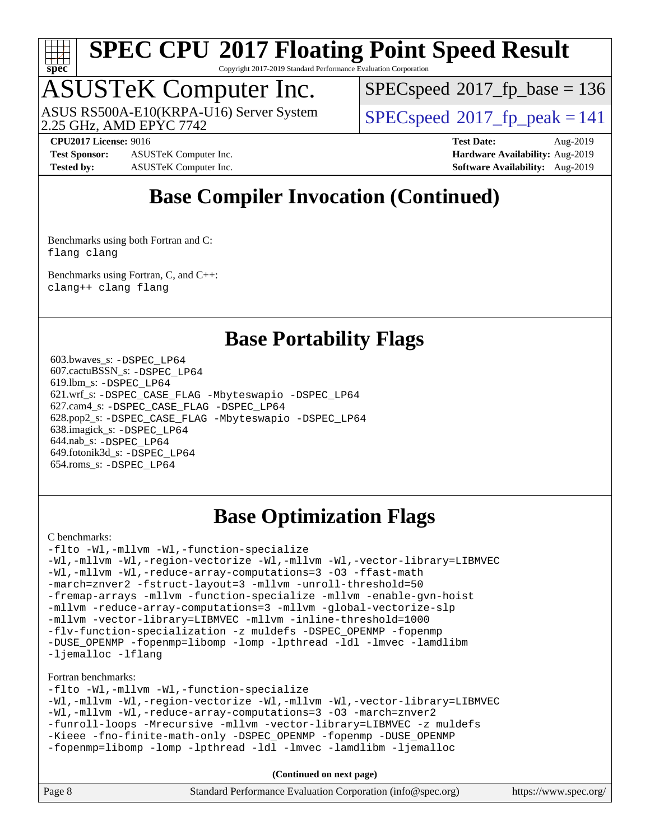

Copyright 2017-2019 Standard Performance Evaluation Corporation

## ASUSTeK Computer Inc.

2.25 GHz, AMD EPYC 7742 ASUS RS500A-E10(KRPA-U16) Server System  $\sqrt{\text{SPEC speed}^{\circ}2017\text{ fp}}$  peak = 141

[SPECspeed](http://www.spec.org/auto/cpu2017/Docs/result-fields.html#SPECspeed2017fpbase)<sup>®</sup>2017 fp base = 136

**[Test Sponsor:](http://www.spec.org/auto/cpu2017/Docs/result-fields.html#TestSponsor)** ASUSTeK Computer Inc. **[Hardware Availability:](http://www.spec.org/auto/cpu2017/Docs/result-fields.html#HardwareAvailability)** Aug-2019 **[Tested by:](http://www.spec.org/auto/cpu2017/Docs/result-fields.html#Testedby)** ASUSTeK Computer Inc. **[Software Availability:](http://www.spec.org/auto/cpu2017/Docs/result-fields.html#SoftwareAvailability)** Aug-2019

**[CPU2017 License:](http://www.spec.org/auto/cpu2017/Docs/result-fields.html#CPU2017License)** 9016 **[Test Date:](http://www.spec.org/auto/cpu2017/Docs/result-fields.html#TestDate)** Aug-2019

## **[Base Compiler Invocation \(Continued\)](http://www.spec.org/auto/cpu2017/Docs/result-fields.html#BaseCompilerInvocation)**

[Benchmarks using both Fortran and C](http://www.spec.org/auto/cpu2017/Docs/result-fields.html#BenchmarksusingbothFortranandC): [flang](http://www.spec.org/cpu2017/results/res2019q3/cpu2017-20190830-17268.flags.html#user_CC_FCbase_flang) [clang](http://www.spec.org/cpu2017/results/res2019q3/cpu2017-20190830-17268.flags.html#user_CC_FCbase_clang-c)

[Benchmarks using Fortran, C, and C++:](http://www.spec.org/auto/cpu2017/Docs/result-fields.html#BenchmarksusingFortranCandCXX) [clang++](http://www.spec.org/cpu2017/results/res2019q3/cpu2017-20190830-17268.flags.html#user_CC_CXX_FCbase_clang-cpp) [clang](http://www.spec.org/cpu2017/results/res2019q3/cpu2017-20190830-17268.flags.html#user_CC_CXX_FCbase_clang-c) [flang](http://www.spec.org/cpu2017/results/res2019q3/cpu2017-20190830-17268.flags.html#user_CC_CXX_FCbase_flang)

## **[Base Portability Flags](http://www.spec.org/auto/cpu2017/Docs/result-fields.html#BasePortabilityFlags)**

 603.bwaves\_s: [-DSPEC\\_LP64](http://www.spec.org/cpu2017/results/res2019q3/cpu2017-20190830-17268.flags.html#suite_baseEXTRA_PORTABILITY603_bwaves_s_DSPEC_LP64) 607.cactuBSSN\_s: [-DSPEC\\_LP64](http://www.spec.org/cpu2017/results/res2019q3/cpu2017-20190830-17268.flags.html#suite_baseEXTRA_PORTABILITY607_cactuBSSN_s_DSPEC_LP64) 619.lbm\_s: [-DSPEC\\_LP64](http://www.spec.org/cpu2017/results/res2019q3/cpu2017-20190830-17268.flags.html#suite_baseEXTRA_PORTABILITY619_lbm_s_DSPEC_LP64) 621.wrf\_s: [-DSPEC\\_CASE\\_FLAG](http://www.spec.org/cpu2017/results/res2019q3/cpu2017-20190830-17268.flags.html#b621.wrf_s_baseCPORTABILITY_DSPEC_CASE_FLAG) [-Mbyteswapio](http://www.spec.org/cpu2017/results/res2019q3/cpu2017-20190830-17268.flags.html#user_baseFPORTABILITY621_wrf_s_F-mbyteswapio_543c39ce38db59bcbc3b888917ef58c313007ae1c27520b689e012995ae261114051d1d5efcb4182d175ce22a6a15532d3a9999882dd2c360e6d853f41da6883) [-DSPEC\\_LP64](http://www.spec.org/cpu2017/results/res2019q3/cpu2017-20190830-17268.flags.html#suite_baseEXTRA_PORTABILITY621_wrf_s_DSPEC_LP64) 627.cam4\_s: [-DSPEC\\_CASE\\_FLAG](http://www.spec.org/cpu2017/results/res2019q3/cpu2017-20190830-17268.flags.html#b627.cam4_s_basePORTABILITY_DSPEC_CASE_FLAG) [-DSPEC\\_LP64](http://www.spec.org/cpu2017/results/res2019q3/cpu2017-20190830-17268.flags.html#suite_baseEXTRA_PORTABILITY627_cam4_s_DSPEC_LP64) 628.pop2\_s: [-DSPEC\\_CASE\\_FLAG](http://www.spec.org/cpu2017/results/res2019q3/cpu2017-20190830-17268.flags.html#b628.pop2_s_baseCPORTABILITY_DSPEC_CASE_FLAG) [-Mbyteswapio](http://www.spec.org/cpu2017/results/res2019q3/cpu2017-20190830-17268.flags.html#user_baseFPORTABILITY628_pop2_s_F-mbyteswapio_543c39ce38db59bcbc3b888917ef58c313007ae1c27520b689e012995ae261114051d1d5efcb4182d175ce22a6a15532d3a9999882dd2c360e6d853f41da6883) [-DSPEC\\_LP64](http://www.spec.org/cpu2017/results/res2019q3/cpu2017-20190830-17268.flags.html#suite_baseEXTRA_PORTABILITY628_pop2_s_DSPEC_LP64) 638.imagick\_s: [-DSPEC\\_LP64](http://www.spec.org/cpu2017/results/res2019q3/cpu2017-20190830-17268.flags.html#suite_baseEXTRA_PORTABILITY638_imagick_s_DSPEC_LP64) 644.nab\_s: [-DSPEC\\_LP64](http://www.spec.org/cpu2017/results/res2019q3/cpu2017-20190830-17268.flags.html#suite_baseEXTRA_PORTABILITY644_nab_s_DSPEC_LP64) 649.fotonik3d\_s: [-DSPEC\\_LP64](http://www.spec.org/cpu2017/results/res2019q3/cpu2017-20190830-17268.flags.html#suite_baseEXTRA_PORTABILITY649_fotonik3d_s_DSPEC_LP64) 654.roms\_s: [-DSPEC\\_LP64](http://www.spec.org/cpu2017/results/res2019q3/cpu2017-20190830-17268.flags.html#suite_baseEXTRA_PORTABILITY654_roms_s_DSPEC_LP64)

## **[Base Optimization Flags](http://www.spec.org/auto/cpu2017/Docs/result-fields.html#BaseOptimizationFlags)**

#### [C benchmarks](http://www.spec.org/auto/cpu2017/Docs/result-fields.html#Cbenchmarks):

[-flto](http://www.spec.org/cpu2017/results/res2019q3/cpu2017-20190830-17268.flags.html#user_CCbase_aocc-flto) [-Wl,-mllvm -Wl,-function-specialize](http://www.spec.org/cpu2017/results/res2019q3/cpu2017-20190830-17268.flags.html#user_CCbase_F-function-specialize_7e7e661e57922243ee67c9a1251cb8910e607325179a0ce7f2884e09a6f5d4a5ef0ae4f37e8a2a11c95fc48e931f06dc2b6016f14b511fcb441e048bef1b065a) [-Wl,-mllvm -Wl,-region-vectorize](http://www.spec.org/cpu2017/results/res2019q3/cpu2017-20190830-17268.flags.html#user_CCbase_F-region-vectorize_fb6c6b5aa293c88efc6c7c2b52b20755e943585b1fe8658c35afef78727fff56e1a56891413c30e36b8e2a6f9a71126986319243e80eb6110b78b288f533c52b) [-Wl,-mllvm -Wl,-vector-library=LIBMVEC](http://www.spec.org/cpu2017/results/res2019q3/cpu2017-20190830-17268.flags.html#user_CCbase_F-use-vector-library_0a14b27fae317f283640384a31f7bfcc2bd4c1d0b5cfc618a3a430800c9b20217b00f61303eff223a3251b4f06ffbc9739dc5296db9d1fbb9ad24a3939d86d66) [-Wl,-mllvm -Wl,-reduce-array-computations=3](http://www.spec.org/cpu2017/results/res2019q3/cpu2017-20190830-17268.flags.html#user_CCbase_F-reduce-array-computations_b882aefe7a5dda4e33149f6299762b9a720dace3e498e13756f4c04e5a19edf5315c1f3993de2e61ec41e8c206231f84e05da7040e1bb5d69ba27d10a12507e4) [-O3](http://www.spec.org/cpu2017/results/res2019q3/cpu2017-20190830-17268.flags.html#user_CCbase_F-O3) [-ffast-math](http://www.spec.org/cpu2017/results/res2019q3/cpu2017-20190830-17268.flags.html#user_CCbase_aocc-ffast-math) [-march=znver2](http://www.spec.org/cpu2017/results/res2019q3/cpu2017-20190830-17268.flags.html#user_CCbase_aocc-march_3e2e19cff2eeef60c5d90b059483627c9ea47eca6d66670dbd53f9185f6439e27eb5e104cf773e9e8ab18c8842ce63e461a3e948d0214bd567ef3ade411bf467) [-fstruct-layout=3](http://www.spec.org/cpu2017/results/res2019q3/cpu2017-20190830-17268.flags.html#user_CCbase_F-struct-layout) [-mllvm -unroll-threshold=50](http://www.spec.org/cpu2017/results/res2019q3/cpu2017-20190830-17268.flags.html#user_CCbase_F-unroll-threshold_458874500b2c105d6d5cb4d7a611c40e2b16e9e3d26b355fea72d644c3673b4de4b3932662f0ed3dbec75c491a13da2d2ca81180bd779dc531083ef1e1e549dc) [-fremap-arrays](http://www.spec.org/cpu2017/results/res2019q3/cpu2017-20190830-17268.flags.html#user_CCbase_F-fremap-arrays) [-mllvm -function-specialize](http://www.spec.org/cpu2017/results/res2019q3/cpu2017-20190830-17268.flags.html#user_CCbase_F-function-specialize_233b3bdba86027f1b094368157e481c5bc59f40286dc25bfadc1858dcd5745c24fd30d5f188710db7fea399bcc9f44a80b3ce3aacc70a8870250c3ae5e1f35b8) [-mllvm -enable-gvn-hoist](http://www.spec.org/cpu2017/results/res2019q3/cpu2017-20190830-17268.flags.html#user_CCbase_F-enable-gvn-hoist_e5856354646dd6ca1333a0ad99b817e4cf8932b91b82809fd8fd47ceff7b22a89eba5c98fd3e3fa5200368fd772cec3dd56abc3c8f7b655a71b9f9848dddedd5) [-mllvm -reduce-array-computations=3](http://www.spec.org/cpu2017/results/res2019q3/cpu2017-20190830-17268.flags.html#user_CCbase_F-reduce-array-computations_aceadb8604558b566e0e3a0d7a3c1533923dd1fa0889614e16288028922629a28d5695c24d3b3be4306b1e311c54317dfffe3a2e57fbcaabc737a1798de39145) [-mllvm -global-vectorize-slp](http://www.spec.org/cpu2017/results/res2019q3/cpu2017-20190830-17268.flags.html#user_CCbase_F-global-vectorize-slp_a3935e8627af4ced727033b1ffd4db27f4d541a363d28d82bf4c2925fb3a0fd4115d6e42d13a2829f9e024d6608eb67a85cb49770f2da5c5ac8dbc737afad603) [-mllvm -vector-library=LIBMVEC](http://www.spec.org/cpu2017/results/res2019q3/cpu2017-20190830-17268.flags.html#user_CCbase_F-use-vector-library_e584e20b4f7ec96aa109254b65d8e01d864f3d68580371b9d93ed7c338191d4cfce20c3c864632264effc6bbe4c7c38153d02096a342ee92501c4a53204a7871) [-mllvm -inline-threshold=1000](http://www.spec.org/cpu2017/results/res2019q3/cpu2017-20190830-17268.flags.html#user_CCbase_dragonegg-llvm-inline-threshold_b7832241b0a6397e4ecdbaf0eb7defdc10f885c2a282fa3240fdc99844d543fda39cf8a4a9dccf68cf19b5438ac3b455264f478df15da0f4988afa40d8243bab) [-flv-function-specialization](http://www.spec.org/cpu2017/results/res2019q3/cpu2017-20190830-17268.flags.html#user_CCbase_F-flv-function-specialization) [-z muldefs](http://www.spec.org/cpu2017/results/res2019q3/cpu2017-20190830-17268.flags.html#user_CCbase_aocc-muldefs) [-DSPEC\\_OPENMP](http://www.spec.org/cpu2017/results/res2019q3/cpu2017-20190830-17268.flags.html#suite_CCbase_DSPEC_OPENMP) [-fopenmp](http://www.spec.org/cpu2017/results/res2019q3/cpu2017-20190830-17268.flags.html#user_CCbase_aocc-fopenmp) [-DUSE\\_OPENMP](http://www.spec.org/cpu2017/results/res2019q3/cpu2017-20190830-17268.flags.html#user_CCbase_F-DUSE_OPENMP) [-fopenmp=libomp](http://www.spec.org/cpu2017/results/res2019q3/cpu2017-20190830-17268.flags.html#user_CCbase_aocc-fopenmp_3eb6ab80166bcc84161ff8c20c8d5bc344f88119f45620444596454f7d72e99b7a0ceefc2d1b4d190bd07306bbfdfc20f11f5a2dc69c9b03c72239f8406741c3) [-lomp](http://www.spec.org/cpu2017/results/res2019q3/cpu2017-20190830-17268.flags.html#user_CCbase_F-lomp) [-lpthread](http://www.spec.org/cpu2017/results/res2019q3/cpu2017-20190830-17268.flags.html#user_CCbase_F-lpthread) [-ldl](http://www.spec.org/cpu2017/results/res2019q3/cpu2017-20190830-17268.flags.html#user_CCbase_F-ldl) [-lmvec](http://www.spec.org/cpu2017/results/res2019q3/cpu2017-20190830-17268.flags.html#user_CCbase_F-lmvec) [-lamdlibm](http://www.spec.org/cpu2017/results/res2019q3/cpu2017-20190830-17268.flags.html#user_CCbase_F-lamdlibm) [-ljemalloc](http://www.spec.org/cpu2017/results/res2019q3/cpu2017-20190830-17268.flags.html#user_CCbase_jemalloc-lib) [-lflang](http://www.spec.org/cpu2017/results/res2019q3/cpu2017-20190830-17268.flags.html#user_CCbase_F-lflang)

#### [Fortran benchmarks](http://www.spec.org/auto/cpu2017/Docs/result-fields.html#Fortranbenchmarks):

[-flto](http://www.spec.org/cpu2017/results/res2019q3/cpu2017-20190830-17268.flags.html#user_FCbase_aocc-flto) [-Wl,-mllvm -Wl,-function-specialize](http://www.spec.org/cpu2017/results/res2019q3/cpu2017-20190830-17268.flags.html#user_FCbase_F-function-specialize_7e7e661e57922243ee67c9a1251cb8910e607325179a0ce7f2884e09a6f5d4a5ef0ae4f37e8a2a11c95fc48e931f06dc2b6016f14b511fcb441e048bef1b065a) [-Wl,-mllvm -Wl,-region-vectorize](http://www.spec.org/cpu2017/results/res2019q3/cpu2017-20190830-17268.flags.html#user_FCbase_F-region-vectorize_fb6c6b5aa293c88efc6c7c2b52b20755e943585b1fe8658c35afef78727fff56e1a56891413c30e36b8e2a6f9a71126986319243e80eb6110b78b288f533c52b) [-Wl,-mllvm -Wl,-vector-library=LIBMVEC](http://www.spec.org/cpu2017/results/res2019q3/cpu2017-20190830-17268.flags.html#user_FCbase_F-use-vector-library_0a14b27fae317f283640384a31f7bfcc2bd4c1d0b5cfc618a3a430800c9b20217b00f61303eff223a3251b4f06ffbc9739dc5296db9d1fbb9ad24a3939d86d66) [-Wl,-mllvm -Wl,-reduce-array-computations=3](http://www.spec.org/cpu2017/results/res2019q3/cpu2017-20190830-17268.flags.html#user_FCbase_F-reduce-array-computations_b882aefe7a5dda4e33149f6299762b9a720dace3e498e13756f4c04e5a19edf5315c1f3993de2e61ec41e8c206231f84e05da7040e1bb5d69ba27d10a12507e4) [-O3](http://www.spec.org/cpu2017/results/res2019q3/cpu2017-20190830-17268.flags.html#user_FCbase_F-O3) [-march=znver2](http://www.spec.org/cpu2017/results/res2019q3/cpu2017-20190830-17268.flags.html#user_FCbase_aocc-march_3e2e19cff2eeef60c5d90b059483627c9ea47eca6d66670dbd53f9185f6439e27eb5e104cf773e9e8ab18c8842ce63e461a3e948d0214bd567ef3ade411bf467) [-funroll-loops](http://www.spec.org/cpu2017/results/res2019q3/cpu2017-20190830-17268.flags.html#user_FCbase_aocc-unroll-loops) [-Mrecursive](http://www.spec.org/cpu2017/results/res2019q3/cpu2017-20190830-17268.flags.html#user_FCbase_F-mrecursive_20a145d63f12d5750a899e17d4450b5b8b40330a9bb4af13688ca650e6fb30857bbbe44fb35cdbb895df6e5b2769de0a0d7659f51ff17acfbef6febafec4023f) [-mllvm -vector-library=LIBMVEC](http://www.spec.org/cpu2017/results/res2019q3/cpu2017-20190830-17268.flags.html#user_FCbase_F-use-vector-library_e584e20b4f7ec96aa109254b65d8e01d864f3d68580371b9d93ed7c338191d4cfce20c3c864632264effc6bbe4c7c38153d02096a342ee92501c4a53204a7871) [-z muldefs](http://www.spec.org/cpu2017/results/res2019q3/cpu2017-20190830-17268.flags.html#user_FCbase_aocc-muldefs) [-Kieee](http://www.spec.org/cpu2017/results/res2019q3/cpu2017-20190830-17268.flags.html#user_FCbase_F-kieee) [-fno-finite-math-only](http://www.spec.org/cpu2017/results/res2019q3/cpu2017-20190830-17268.flags.html#user_FCbase_aocc-fno-finite-math-only) [-DSPEC\\_OPENMP](http://www.spec.org/cpu2017/results/res2019q3/cpu2017-20190830-17268.flags.html#suite_FCbase_DSPEC_OPENMP) [-fopenmp](http://www.spec.org/cpu2017/results/res2019q3/cpu2017-20190830-17268.flags.html#user_FCbase_aocc-fopenmp) [-DUSE\\_OPENMP](http://www.spec.org/cpu2017/results/res2019q3/cpu2017-20190830-17268.flags.html#user_FCbase_F-DUSE_OPENMP) [-fopenmp=libomp](http://www.spec.org/cpu2017/results/res2019q3/cpu2017-20190830-17268.flags.html#user_FCbase_aocc-fopenmp_3eb6ab80166bcc84161ff8c20c8d5bc344f88119f45620444596454f7d72e99b7a0ceefc2d1b4d190bd07306bbfdfc20f11f5a2dc69c9b03c72239f8406741c3) [-lomp](http://www.spec.org/cpu2017/results/res2019q3/cpu2017-20190830-17268.flags.html#user_FCbase_F-lomp) [-lpthread](http://www.spec.org/cpu2017/results/res2019q3/cpu2017-20190830-17268.flags.html#user_FCbase_F-lpthread) [-ldl](http://www.spec.org/cpu2017/results/res2019q3/cpu2017-20190830-17268.flags.html#user_FCbase_F-ldl) [-lmvec](http://www.spec.org/cpu2017/results/res2019q3/cpu2017-20190830-17268.flags.html#user_FCbase_F-lmvec) [-lamdlibm](http://www.spec.org/cpu2017/results/res2019q3/cpu2017-20190830-17268.flags.html#user_FCbase_F-lamdlibm) [-ljemalloc](http://www.spec.org/cpu2017/results/res2019q3/cpu2017-20190830-17268.flags.html#user_FCbase_jemalloc-lib)

**(Continued on next page)**

| Page 8 | Standard Performance Evaluation Corporation (info@spec.org) | https://www.spec.org/ |
|--------|-------------------------------------------------------------|-----------------------|
|--------|-------------------------------------------------------------|-----------------------|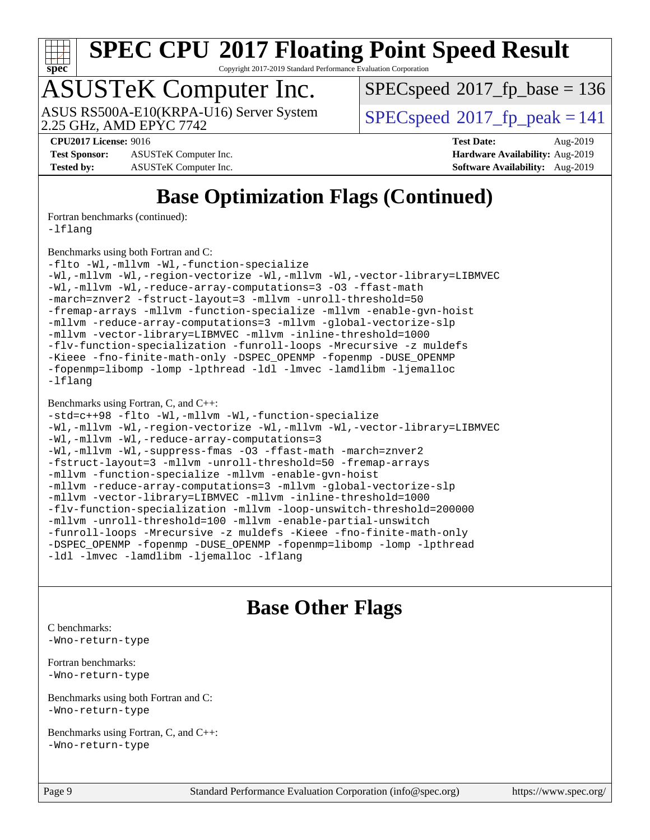

Copyright 2017-2019 Standard Performance Evaluation Corporation

# ASUSTeK Computer Inc.

[SPECspeed](http://www.spec.org/auto/cpu2017/Docs/result-fields.html#SPECspeed2017fpbase)<sup>®</sup>2017 fp base = 136

2.25 GHz, AMD EPYC 7742 ASUS RS500A-E10(KRPA-U16) Server System  $\big|$  [SPECspeed](http://www.spec.org/auto/cpu2017/Docs/result-fields.html#SPECspeed2017fppeak)<sup>®</sup>2017 fp\_peak = 141

**[Test Sponsor:](http://www.spec.org/auto/cpu2017/Docs/result-fields.html#TestSponsor)** ASUSTeK Computer Inc. **[Hardware Availability:](http://www.spec.org/auto/cpu2017/Docs/result-fields.html#HardwareAvailability)** Aug-2019 **[Tested by:](http://www.spec.org/auto/cpu2017/Docs/result-fields.html#Testedby)** ASUSTeK Computer Inc. **[Software Availability:](http://www.spec.org/auto/cpu2017/Docs/result-fields.html#SoftwareAvailability)** Aug-2019

**[CPU2017 License:](http://www.spec.org/auto/cpu2017/Docs/result-fields.html#CPU2017License)** 9016 **[Test Date:](http://www.spec.org/auto/cpu2017/Docs/result-fields.html#TestDate)** Aug-2019

## **[Base Optimization Flags \(Continued\)](http://www.spec.org/auto/cpu2017/Docs/result-fields.html#BaseOptimizationFlags)**

[Fortran benchmarks](http://www.spec.org/auto/cpu2017/Docs/result-fields.html#Fortranbenchmarks) (continued):

[-lflang](http://www.spec.org/cpu2017/results/res2019q3/cpu2017-20190830-17268.flags.html#user_FCbase_F-lflang)

[Benchmarks using both Fortran and C](http://www.spec.org/auto/cpu2017/Docs/result-fields.html#BenchmarksusingbothFortranandC):

```
-flto -Wl,-mllvm -Wl,-function-specialize
-Wl,-mllvm -Wl,-region-vectorize -Wl,-mllvm -Wl,-vector-library=LIBMVEC
-Wl,-mllvm -Wl,-reduce-array-computations=3 -O3 -ffast-math
-march=znver2 -fstruct-layout=3 -mllvm -unroll-threshold=50
-fremap-arrays -mllvm -function-specialize -mllvm -enable-gvn-hoist
-mllvm -reduce-array-computations=3 -mllvm -global-vectorize-slp
-mllvm -vector-library=LIBMVEC -mllvm -inline-threshold=1000
-flv-function-specialization -funroll-loops -Mrecursive -z muldefs
-Kieee -fno-finite-math-only -DSPEC_OPENMP -fopenmp -DUSE_OPENMP
-fopenmp=libomp -lomp -lpthread -ldl -lmvec -lamdlibm -ljemalloc
-lflang
```
#### [Benchmarks using Fortran, C, and C++:](http://www.spec.org/auto/cpu2017/Docs/result-fields.html#BenchmarksusingFortranCandCXX)

```
-std=c++98 -flto -Wl,-mllvm -Wl,-function-specialize
-Wl,-mllvm -Wl,-region-vectorize-Wl,-mllvm -Wl,-vector-library=LIBMVEC
-Wl,-mllvm -Wl,-reduce-array-computations=3
-Wl,-mllvm -Wl,-suppress-fmas -O3 -ffast-math -march=znver2
-fstruct-layout=3 -mllvm -unroll-threshold=50 -fremap-arrays
-mllvm -function-specialize -mllvm -enable-gvn-hoist
-mllvm -reduce-array-computations=3 -mllvm -global-vectorize-slp
-mllvm -vector-library=LIBMVEC -mllvm -inline-threshold=1000
-flv-function-specialization -mllvm -loop-unswitch-threshold=200000
-mllvm -unroll-threshold=100 -mllvm -enable-partial-unswitch
-funroll-loops -Mrecursive -z muldefs -Kieee -fno-finite-math-only
-DSPEC_OPENMP -fopenmp -DUSE_OPENMP -fopenmp=libomp -lomp -lpthread
-ldl -lmvec -lamdlibm -ljemalloc -lflang
```
## **[Base Other Flags](http://www.spec.org/auto/cpu2017/Docs/result-fields.html#BaseOtherFlags)**

[C benchmarks](http://www.spec.org/auto/cpu2017/Docs/result-fields.html#Cbenchmarks): [-Wno-return-type](http://www.spec.org/cpu2017/results/res2019q3/cpu2017-20190830-17268.flags.html#user_CCbase_F-Waocc-no-return-type)

[Fortran benchmarks](http://www.spec.org/auto/cpu2017/Docs/result-fields.html#Fortranbenchmarks): [-Wno-return-type](http://www.spec.org/cpu2017/results/res2019q3/cpu2017-20190830-17268.flags.html#user_FCbase_F-Waocc-no-return-type)

[Benchmarks using both Fortran and C](http://www.spec.org/auto/cpu2017/Docs/result-fields.html#BenchmarksusingbothFortranandC): [-Wno-return-type](http://www.spec.org/cpu2017/results/res2019q3/cpu2017-20190830-17268.flags.html#user_CC_FCbase_F-Waocc-no-return-type)

[Benchmarks using Fortran, C, and C++:](http://www.spec.org/auto/cpu2017/Docs/result-fields.html#BenchmarksusingFortranCandCXX) [-Wno-return-type](http://www.spec.org/cpu2017/results/res2019q3/cpu2017-20190830-17268.flags.html#user_CC_CXX_FCbase_F-Waocc-no-return-type)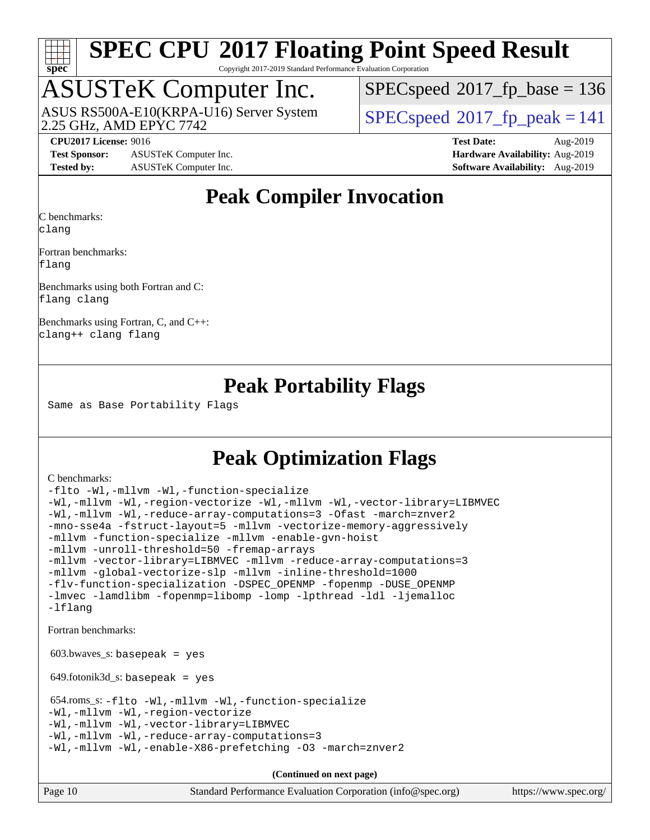

Copyright 2017-2019 Standard Performance Evaluation Corporation

## ASUSTeK Computer Inc.

2.25 GHz, AMD EPYC 7742 ASUS RS500A-E10(KRPA-U16) Server System  $\sqrt{\text{SPEC speed}^{\circ}2017\text{ fp}}$  peak = 141

[SPECspeed](http://www.spec.org/auto/cpu2017/Docs/result-fields.html#SPECspeed2017fpbase)<sup>®</sup>2017 fp base = 136

**[Test Sponsor:](http://www.spec.org/auto/cpu2017/Docs/result-fields.html#TestSponsor)** ASUSTeK Computer Inc. **[Hardware Availability:](http://www.spec.org/auto/cpu2017/Docs/result-fields.html#HardwareAvailability)** Aug-2019 **[Tested by:](http://www.spec.org/auto/cpu2017/Docs/result-fields.html#Testedby)** ASUSTeK Computer Inc. **[Software Availability:](http://www.spec.org/auto/cpu2017/Docs/result-fields.html#SoftwareAvailability)** Aug-2019

**[CPU2017 License:](http://www.spec.org/auto/cpu2017/Docs/result-fields.html#CPU2017License)** 9016 **[Test Date:](http://www.spec.org/auto/cpu2017/Docs/result-fields.html#TestDate)** Aug-2019

## **[Peak Compiler Invocation](http://www.spec.org/auto/cpu2017/Docs/result-fields.html#PeakCompilerInvocation)**

[C benchmarks](http://www.spec.org/auto/cpu2017/Docs/result-fields.html#Cbenchmarks): [clang](http://www.spec.org/cpu2017/results/res2019q3/cpu2017-20190830-17268.flags.html#user_CCpeak_clang-c)

[Fortran benchmarks:](http://www.spec.org/auto/cpu2017/Docs/result-fields.html#Fortranbenchmarks) [flang](http://www.spec.org/cpu2017/results/res2019q3/cpu2017-20190830-17268.flags.html#user_FCpeak_flang)

[Benchmarks using both Fortran and C](http://www.spec.org/auto/cpu2017/Docs/result-fields.html#BenchmarksusingbothFortranandC): [flang](http://www.spec.org/cpu2017/results/res2019q3/cpu2017-20190830-17268.flags.html#user_CC_FCpeak_flang) [clang](http://www.spec.org/cpu2017/results/res2019q3/cpu2017-20190830-17268.flags.html#user_CC_FCpeak_clang-c)

[Benchmarks using Fortran, C, and C++](http://www.spec.org/auto/cpu2017/Docs/result-fields.html#BenchmarksusingFortranCandCXX): [clang++](http://www.spec.org/cpu2017/results/res2019q3/cpu2017-20190830-17268.flags.html#user_CC_CXX_FCpeak_clang-cpp) [clang](http://www.spec.org/cpu2017/results/res2019q3/cpu2017-20190830-17268.flags.html#user_CC_CXX_FCpeak_clang-c) [flang](http://www.spec.org/cpu2017/results/res2019q3/cpu2017-20190830-17268.flags.html#user_CC_CXX_FCpeak_flang)

## **[Peak Portability Flags](http://www.spec.org/auto/cpu2017/Docs/result-fields.html#PeakPortabilityFlags)**

Same as Base Portability Flags

## **[Peak Optimization Flags](http://www.spec.org/auto/cpu2017/Docs/result-fields.html#PeakOptimizationFlags)**

#### [C benchmarks](http://www.spec.org/auto/cpu2017/Docs/result-fields.html#Cbenchmarks):

```
-flto -Wl,-mllvm -Wl,-function-specialize
-Wl,-mllvm -Wl,-region-vectorize -Wl,-mllvm -Wl,-vector-library=LIBMVEC
-Wl,-mllvm -Wl,-reduce-array-computations=3 -Ofast -march=znver2
-mno-sse4a -fstruct-layout=5 -mllvm -vectorize-memory-aggressively
-mllvm -function-specialize -mllvm -enable-gvn-hoist
-mllvm -unroll-threshold=50 -fremap-arrays
-mllvm -vector-library=LIBMVEC -mllvm -reduce-array-computations=3
-mllvm -global-vectorize-slp -mllvm -inline-threshold=1000
-flv-function-specialization -DSPEC_OPENMP -fopenmp -DUSE_OPENMP
-lmvec -lamdlibm -fopenmp=libomp -lomp -lpthread -ldl -ljemalloc
-lflang
Fortran benchmarks: 
603.bwaves s: basepeak = yes
 649.fotonik3d_s: basepeak = yes
 654.roms_s: -flto -Wl,-mllvm -Wl,-function-specialize
-Wl,-mllvm -Wl,-region-vectorize
-Wl,-mllvm -Wl,-vector-library=LIBMVEC
-Wl,-mllvm -Wl,-reduce-array-computations=3
-Wl,-mllvm -Wl,-enable-X86-prefetching -O3 -march=znver2
```
**(Continued on next page)**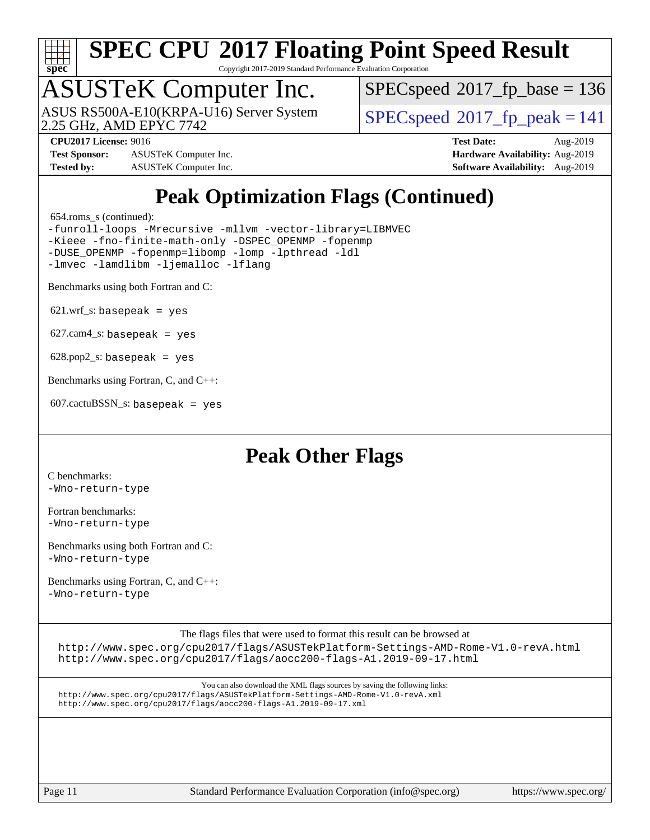

Copyright 2017-2019 Standard Performance Evaluation Corporation

## ASUSTeK Computer Inc.

2.25 GHz, AMD EPYC 7742 ASUS RS500A-E10(KRPA-U16) Server System [SPECspeed](http://www.spec.org/auto/cpu2017/Docs/result-fields.html#SPECspeed2017fppeak)®2017 fp\_peak = 141

[SPECspeed](http://www.spec.org/auto/cpu2017/Docs/result-fields.html#SPECspeed2017fpbase)<sup>®</sup>2017 fp base = 136

**[Test Sponsor:](http://www.spec.org/auto/cpu2017/Docs/result-fields.html#TestSponsor)** ASUSTeK Computer Inc. **[Hardware Availability:](http://www.spec.org/auto/cpu2017/Docs/result-fields.html#HardwareAvailability)** Aug-2019 **[Tested by:](http://www.spec.org/auto/cpu2017/Docs/result-fields.html#Testedby)** ASUSTeK Computer Inc. **[Software Availability:](http://www.spec.org/auto/cpu2017/Docs/result-fields.html#SoftwareAvailability)** Aug-2019

**[CPU2017 License:](http://www.spec.org/auto/cpu2017/Docs/result-fields.html#CPU2017License)** 9016 **[Test Date:](http://www.spec.org/auto/cpu2017/Docs/result-fields.html#TestDate)** Aug-2019

## **[Peak Optimization Flags \(Continued\)](http://www.spec.org/auto/cpu2017/Docs/result-fields.html#PeakOptimizationFlags)**

654.roms\_s (continued):

[-funroll-loops](http://www.spec.org/cpu2017/results/res2019q3/cpu2017-20190830-17268.flags.html#user_peakFOPTIMIZE654_roms_s_aocc-unroll-loops) [-Mrecursive](http://www.spec.org/cpu2017/results/res2019q3/cpu2017-20190830-17268.flags.html#user_peakFOPTIMIZE654_roms_s_F-mrecursive_20a145d63f12d5750a899e17d4450b5b8b40330a9bb4af13688ca650e6fb30857bbbe44fb35cdbb895df6e5b2769de0a0d7659f51ff17acfbef6febafec4023f) [-mllvm -vector-library=LIBMVEC](http://www.spec.org/cpu2017/results/res2019q3/cpu2017-20190830-17268.flags.html#user_peakFOPTIMIZE654_roms_s_F-use-vector-library_e584e20b4f7ec96aa109254b65d8e01d864f3d68580371b9d93ed7c338191d4cfce20c3c864632264effc6bbe4c7c38153d02096a342ee92501c4a53204a7871) [-Kieee](http://www.spec.org/cpu2017/results/res2019q3/cpu2017-20190830-17268.flags.html#user_peakEXTRA_FFLAGS654_roms_s_F-kieee) [-fno-finite-math-only](http://www.spec.org/cpu2017/results/res2019q3/cpu2017-20190830-17268.flags.html#user_peakEXTRA_FFLAGS654_roms_s_aocc-fno-finite-math-only) [-DSPEC\\_OPENMP](http://www.spec.org/cpu2017/results/res2019q3/cpu2017-20190830-17268.flags.html#suite_peakEXTRA_OPTIMIZE654_roms_s_DSPEC_OPENMP) [-fopenmp](http://www.spec.org/cpu2017/results/res2019q3/cpu2017-20190830-17268.flags.html#user_peakEXTRA_OPTIMIZE654_roms_s_aocc-fopenmp) [-DUSE\\_OPENMP](http://www.spec.org/cpu2017/results/res2019q3/cpu2017-20190830-17268.flags.html#user_peakEXTRA_OPTIMIZE654_roms_s_F-DUSE_OPENMP) [-fopenmp=libomp](http://www.spec.org/cpu2017/results/res2019q3/cpu2017-20190830-17268.flags.html#user_peakEXTRA_LIBS654_roms_s_aocc-fopenmp_3eb6ab80166bcc84161ff8c20c8d5bc344f88119f45620444596454f7d72e99b7a0ceefc2d1b4d190bd07306bbfdfc20f11f5a2dc69c9b03c72239f8406741c3) [-lomp](http://www.spec.org/cpu2017/results/res2019q3/cpu2017-20190830-17268.flags.html#user_peakEXTRA_LIBS654_roms_s_F-lomp) [-lpthread](http://www.spec.org/cpu2017/results/res2019q3/cpu2017-20190830-17268.flags.html#user_peakEXTRA_LIBS654_roms_s_F-lpthread) [-ldl](http://www.spec.org/cpu2017/results/res2019q3/cpu2017-20190830-17268.flags.html#user_peakEXTRA_LIBS654_roms_s_F-ldl) [-lmvec](http://www.spec.org/cpu2017/results/res2019q3/cpu2017-20190830-17268.flags.html#user_peakEXTRA_FLIBSEXTRA_LIBS654_roms_s_F-lmvec) [-lamdlibm](http://www.spec.org/cpu2017/results/res2019q3/cpu2017-20190830-17268.flags.html#user_peakEXTRA_FLIBSEXTRA_LIBS654_roms_s_F-lamdlibm) [-ljemalloc](http://www.spec.org/cpu2017/results/res2019q3/cpu2017-20190830-17268.flags.html#user_peakEXTRA_LIBS654_roms_s_jemalloc-lib) [-lflang](http://www.spec.org/cpu2017/results/res2019q3/cpu2017-20190830-17268.flags.html#user_peakEXTRA_LIBS654_roms_s_F-lflang)

[Benchmarks using both Fortran and C](http://www.spec.org/auto/cpu2017/Docs/result-fields.html#BenchmarksusingbothFortranandC):

 $621.wrf_s$ : basepeak = yes

 $627.cam4_s$ : basepeak = yes

 $628.pop2_s:$  basepeak = yes

[Benchmarks using Fortran, C, and C++:](http://www.spec.org/auto/cpu2017/Docs/result-fields.html#BenchmarksusingFortranCandCXX)

607.cactuBSSN\_s: basepeak = yes

## **[Peak Other Flags](http://www.spec.org/auto/cpu2017/Docs/result-fields.html#PeakOtherFlags)**

[C benchmarks](http://www.spec.org/auto/cpu2017/Docs/result-fields.html#Cbenchmarks): [-Wno-return-type](http://www.spec.org/cpu2017/results/res2019q3/cpu2017-20190830-17268.flags.html#user_CCpeak_F-Waocc-no-return-type)

[Fortran benchmarks](http://www.spec.org/auto/cpu2017/Docs/result-fields.html#Fortranbenchmarks): [-Wno-return-type](http://www.spec.org/cpu2017/results/res2019q3/cpu2017-20190830-17268.flags.html#user_FCpeak_F-Waocc-no-return-type)

[Benchmarks using both Fortran and C](http://www.spec.org/auto/cpu2017/Docs/result-fields.html#BenchmarksusingbothFortranandC): [-Wno-return-type](http://www.spec.org/cpu2017/results/res2019q3/cpu2017-20190830-17268.flags.html#user_CC_FCpeak_F-Waocc-no-return-type)

[Benchmarks using Fortran, C, and C++:](http://www.spec.org/auto/cpu2017/Docs/result-fields.html#BenchmarksusingFortranCandCXX) [-Wno-return-type](http://www.spec.org/cpu2017/results/res2019q3/cpu2017-20190830-17268.flags.html#user_CC_CXX_FCpeak_F-Waocc-no-return-type)

[The flags files that were used to format this result can be browsed at](tmsearch)

<http://www.spec.org/cpu2017/flags/ASUSTekPlatform-Settings-AMD-Rome-V1.0-revA.html> <http://www.spec.org/cpu2017/flags/aocc200-flags-A1.2019-09-17.html>

[You can also download the XML flags sources by saving the following links:](tmsearch) <http://www.spec.org/cpu2017/flags/ASUSTekPlatform-Settings-AMD-Rome-V1.0-revA.xml> <http://www.spec.org/cpu2017/flags/aocc200-flags-A1.2019-09-17.xml>